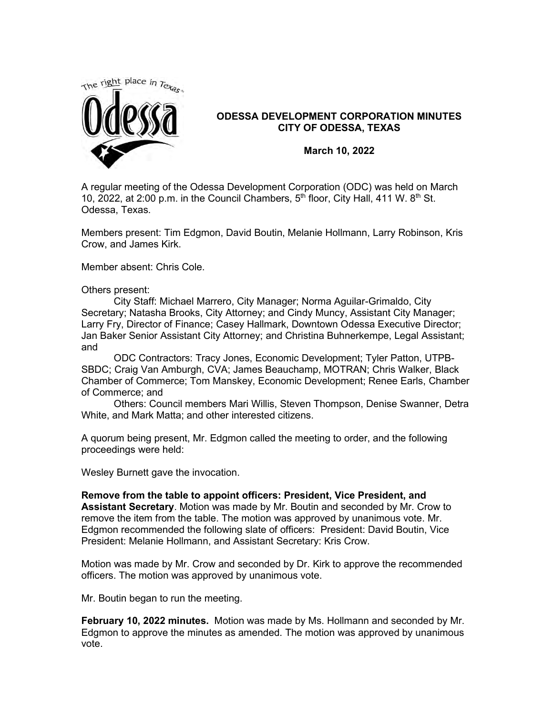

## **ODESSA DEVELOPMENT CORPORATION MINUTES CITY OF ODESSA, TEXAS**

**March 10, 2022**

A regular meeting of the Odessa Development Corporation (ODC) was held on March 10, 2022, at 2:00 p.m. in the Council Chambers,  $5<sup>th</sup>$  floor, City Hall, 411 W.  $8<sup>th</sup>$  St. Odessa, Texas.

Members present: Tim Edgmon, David Boutin, Melanie Hollmann, Larry Robinson, Kris Crow, and James Kirk.

Member absent: Chris Cole.

Others present:

City Staff: Michael Marrero, City Manager; Norma Aguilar-Grimaldo, City Secretary; Natasha Brooks, City Attorney; and Cindy Muncy, Assistant City Manager; Larry Fry, Director of Finance; Casey Hallmark, Downtown Odessa Executive Director; Jan Baker Senior Assistant City Attorney; and Christina Buhnerkempe, Legal Assistant; and

ODC Contractors: Tracy Jones, Economic Development; Tyler Patton, UTPB-SBDC; Craig Van Amburgh, CVA; James Beauchamp, MOTRAN; Chris Walker, Black Chamber of Commerce; Tom Manskey, Economic Development; Renee Earls, Chamber of Commerce; and

Others: Council members Mari Willis, Steven Thompson, Denise Swanner, Detra White, and Mark Matta; and other interested citizens.

A quorum being present, Mr. Edgmon called the meeting to order, and the following proceedings were held:

Wesley Burnett gave the invocation.

**Remove from the table to appoint officers: President, Vice President, and Assistant Secretary**. Motion was made by Mr. Boutin and seconded by Mr. Crow to remove the item from the table. The motion was approved by unanimous vote. Mr. Edgmon recommended the following slate of officers: President: David Boutin, Vice President: Melanie Hollmann, and Assistant Secretary: Kris Crow.

Motion was made by Mr. Crow and seconded by Dr. Kirk to approve the recommended officers. The motion was approved by unanimous vote.

Mr. Boutin began to run the meeting.

**February 10, 2022 minutes.** Motion was made by Ms. Hollmann and seconded by Mr. Edgmon to approve the minutes as amended. The motion was approved by unanimous vote.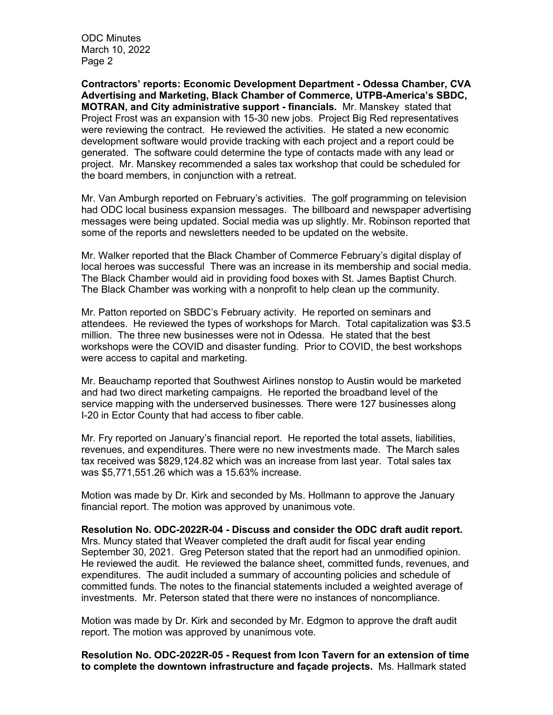ODC Minutes March 10, 2022 Page 2

**Contractors' reports: Economic Development Department - Odessa Chamber, CVA Advertising and Marketing, Black Chamber of Commerce, UTPB-America's SBDC, MOTRAN, and City administrative support - financials.** Mr. Manskey stated that Project Frost was an expansion with 15-30 new jobs. Project Big Red representatives were reviewing the contract. He reviewed the activities. He stated a new economic development software would provide tracking with each project and a report could be generated. The software could determine the type of contacts made with any lead or project. Mr. Manskey recommended a sales tax workshop that could be scheduled for the board members, in conjunction with a retreat.

Mr. Van Amburgh reported on February's activities. The golf programming on television had ODC local business expansion messages. The billboard and newspaper advertising messages were being updated. Social media was up slightly. Mr. Robinson reported that some of the reports and newsletters needed to be updated on the website.

Mr. Walker reported that the Black Chamber of Commerce February's digital display of local heroes was successful There was an increase in its membership and social media. The Black Chamber would aid in providing food boxes with St. James Baptist Church. The Black Chamber was working with a nonprofit to help clean up the community.

Mr. Patton reported on SBDC's February activity. He reported on seminars and attendees. He reviewed the types of workshops for March. Total capitalization was \$3.5 million. The three new businesses were not in Odessa. He stated that the best workshops were the COVID and disaster funding. Prior to COVID, the best workshops were access to capital and marketing.

Mr. Beauchamp reported that Southwest Airlines nonstop to Austin would be marketed and had two direct marketing campaigns. He reported the broadband level of the service mapping with the underserved businesses. There were 127 businesses along I-20 in Ector County that had access to fiber cable.

Mr. Fry reported on January's financial report. He reported the total assets, liabilities, revenues, and expenditures. There were no new investments made. The March sales tax received was \$829,124.82 which was an increase from last year. Total sales tax was \$5,771,551.26 which was a 15.63% increase.

Motion was made by Dr. Kirk and seconded by Ms. Hollmann to approve the January financial report. The motion was approved by unanimous vote.

**Resolution No. ODC-2022R-04 - Discuss and consider the ODC draft audit report.**  Mrs. Muncy stated that Weaver completed the draft audit for fiscal year ending September 30, 2021. Greg Peterson stated that the report had an unmodified opinion. He reviewed the audit. He reviewed the balance sheet, committed funds, revenues, and expenditures. The audit included a summary of accounting policies and schedule of committed funds. The notes to the financial statements included a weighted average of investments. Mr. Peterson stated that there were no instances of noncompliance.

Motion was made by Dr. Kirk and seconded by Mr. Edgmon to approve the draft audit report. The motion was approved by unanimous vote.

**Resolution No. ODC-2022R-05 - Request from Icon Tavern for an extension of time to complete the downtown infrastructure and façade projects.** Ms. Hallmark stated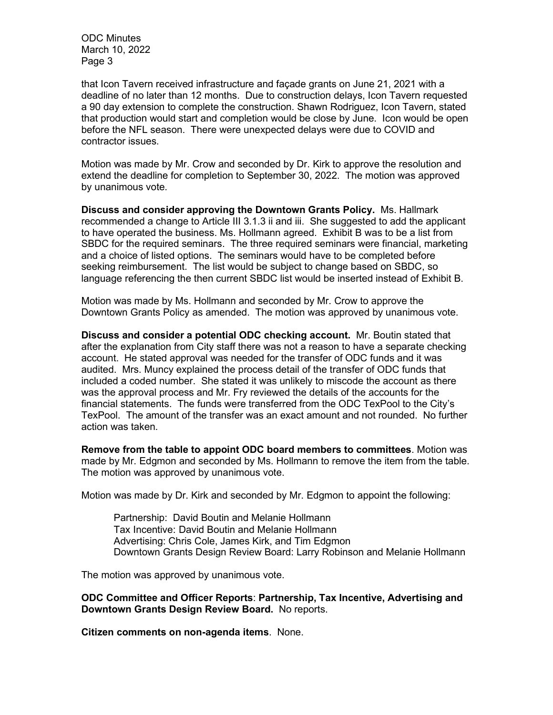ODC Minutes March 10, 2022 Page 3

that Icon Tavern received infrastructure and façade grants on June 21, 2021 with a deadline of no later than 12 months. Due to construction delays, Icon Tavern requested a 90 day extension to complete the construction. Shawn Rodriguez, Icon Tavern, stated that production would start and completion would be close by June. Icon would be open before the NFL season. There were unexpected delays were due to COVID and contractor issues.

Motion was made by Mr. Crow and seconded by Dr. Kirk to approve the resolution and extend the deadline for completion to September 30, 2022. The motion was approved by unanimous vote.

**Discuss and consider approving the Downtown Grants Policy.** Ms. Hallmark recommended a change to Article III 3.1.3 ii and iii. She suggested to add the applicant to have operated the business. Ms. Hollmann agreed. Exhibit B was to be a list from SBDC for the required seminars. The three required seminars were financial, marketing and a choice of listed options. The seminars would have to be completed before seeking reimbursement. The list would be subject to change based on SBDC, so language referencing the then current SBDC list would be inserted instead of Exhibit B.

Motion was made by Ms. Hollmann and seconded by Mr. Crow to approve the Downtown Grants Policy as amended. The motion was approved by unanimous vote.

**Discuss and consider a potential ODC checking account.** Mr. Boutin stated that after the explanation from City staff there was not a reason to have a separate checking account. He stated approval was needed for the transfer of ODC funds and it was audited. Mrs. Muncy explained the process detail of the transfer of ODC funds that included a coded number. She stated it was unlikely to miscode the account as there was the approval process and Mr. Fry reviewed the details of the accounts for the financial statements. The funds were transferred from the ODC TexPool to the City's TexPool. The amount of the transfer was an exact amount and not rounded. No further action was taken.

**Remove from the table to appoint ODC board members to committees**. Motion was made by Mr. Edgmon and seconded by Ms. Hollmann to remove the item from the table. The motion was approved by unanimous vote.

Motion was made by Dr. Kirk and seconded by Mr. Edgmon to appoint the following:

Partnership: David Boutin and Melanie Hollmann Tax Incentive: David Boutin and Melanie Hollmann Advertising: Chris Cole, James Kirk, and Tim Edgmon Downtown Grants Design Review Board: Larry Robinson and Melanie Hollmann

The motion was approved by unanimous vote.

**ODC Committee and Officer Reports**: **Partnership, Tax Incentive, Advertising and Downtown Grants Design Review Board.** No reports.

**Citizen comments on non-agenda items**. None.